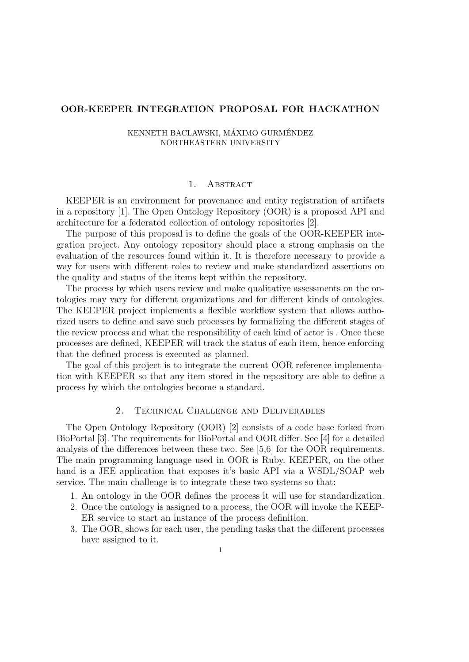# OOR-KEEPER INTEGRATION PROPOSAL FOR HACKATHON

#### KENNETH BACLAWSKI, MÁXIMO GURMÉNDEZ NORTHEASTERN UNIVERSITY

## 1. ABSTRACT

KEEPER is an environment for provenance and entity registration of artifacts in a repository [1]. The Open Ontology Repository (OOR) is a proposed API and architecture for a federated collection of ontology repositories [2].

The purpose of this proposal is to define the goals of the OOR-KEEPER integration project. Any ontology repository should place a strong emphasis on the evaluation of the resources found within it. It is therefore necessary to provide a way for users with different roles to review and make standardized assertions on the quality and status of the items kept within the repository.

The process by which users review and make qualitative assessments on the ontologies may vary for different organizations and for different kinds of ontologies. The KEEPER project implements a flexible workflow system that allows authorized users to define and save such processes by formalizing the different stages of the review process and what the responsibility of each kind of actor is . Once these processes are defined, KEEPER will track the status of each item, hence enforcing that the defined process is executed as planned.

The goal of this project is to integrate the current OOR reference implementation with KEEPER so that any item stored in the repository are able to define a process by which the ontologies become a standard.

# 2. Technical Challenge and Deliverables

The Open Ontology Repository (OOR) [2] consists of a code base forked from BioPortal [3]. The requirements for BioPortal and OOR differ. See [4] for a detailed analysis of the differences between these two. See [5,6] for the OOR requirements. The main programming language used in OOR is Ruby. KEEPER, on the other hand is a JEE application that exposes it's basic API via a WSDL/SOAP web service. The main challenge is to integrate these two systems so that:

- 1. An ontology in the OOR defines the process it will use for standardization.
- 2. Once the ontology is assigned to a process, the OOR will invoke the KEEP-ER service to start an instance of the process definition.
- 3. The OOR, shows for each user, the pending tasks that the different processes have assigned to it.